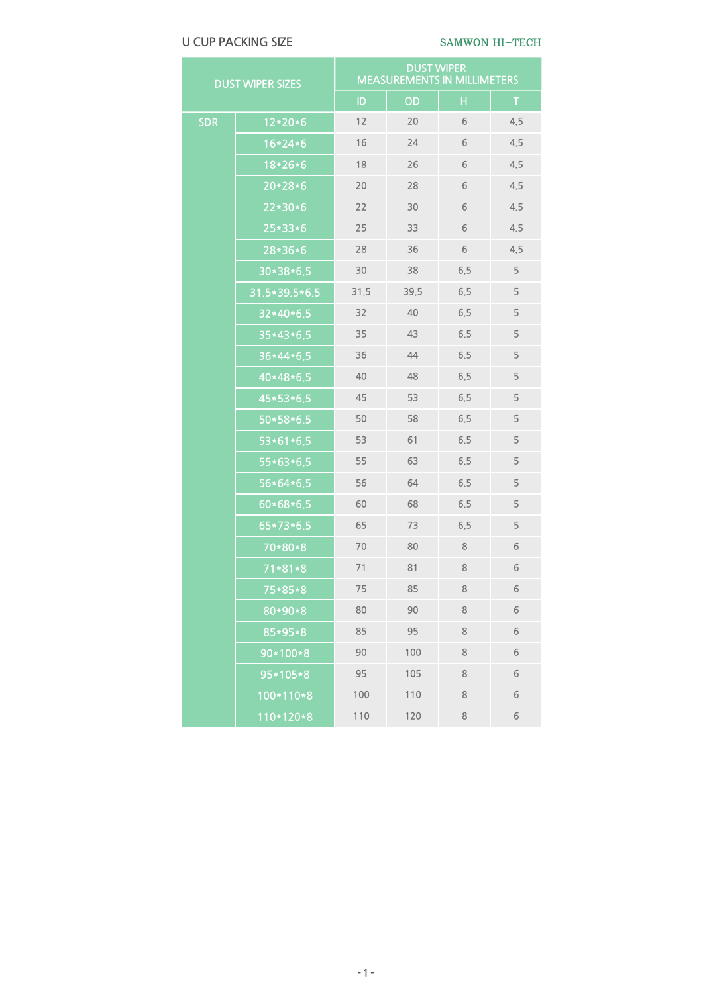# U CUP PACKING SIZE SAMWON HI-TECH

| <b>DUST WIPER SIZES</b> |               | <b>DUST WIPER</b><br><b>MEASUREMENTS IN MILLIMETERS</b> |      |         |     |
|-------------------------|---------------|---------------------------------------------------------|------|---------|-----|
|                         |               | ID                                                      | OD   | н       | T   |
| <b>SDR</b>              | $12*20*6$     | 12                                                      | 20   | 6       | 4,5 |
|                         | $16*24*6$     | 16                                                      | 24   | 6       | 4,5 |
|                         | 18*26*6       | 18                                                      | 26   | 6       | 4,5 |
|                         | $20*28*6$     | 20                                                      | 28   | 6       | 4,5 |
|                         | $22*30*6$     | 22                                                      | 30   | 6       | 4,5 |
|                         | $25*33*6$     | 25                                                      | 33   | 6       | 4,5 |
|                         | 28*36*6       | 28                                                      | 36   | 6       | 4,5 |
|                         | 30*38*6.5     | 30                                                      | 38   | 6,5     | 5   |
|                         | 31.5*39.5*6.5 | 31,5                                                    | 39.5 | 6.5     | 5   |
|                         | 32*40*6.5     | 32                                                      | 40   | 6.5     | 5   |
|                         | $35*43*6.5$   | 35                                                      | 43   | 6.5     | 5   |
|                         | 36*44*6.5     | 36                                                      | 44   | 6.5     | 5   |
|                         | 40*48*6.5     | 40                                                      | 48   | 6.5     | 5   |
|                         | 45*53*6.5     | 45                                                      | 53   | 6.5     | 5   |
|                         | 50*58*6.5     | 50                                                      | 58   | 6.5     | 5   |
|                         | 53*61*6.5     | 53                                                      | 61   | 6.5     | 5   |
|                         | 55*63*6.5     | 55                                                      | 63   | 6.5     | 5   |
|                         | $56*64*6.5$   | 56                                                      | 64   | 6.5     | 5   |
|                         | $60*68*6.5$   | 60                                                      | 68   | 6.5     | 5   |
|                         | 65*73*6.5     | 65                                                      | 73   | 6.5     | 5   |
|                         | 70*80*8       | 70                                                      | 80   | $\,8\,$ | 6   |
|                         | $71*81*8$     | 71                                                      | 81   | 8       | 6   |
|                         | 75*85*8       | 75                                                      | 85   | 8       | 6   |
|                         | 80*90*8       | 80                                                      | 90   | 8       | 6   |
|                         | 85*95*8       | 85                                                      | 95   | 8       | 6   |
|                         | 90*100*8      | 90                                                      | 100  | 8       | 6   |
|                         | 95*105*8      | 95                                                      | 105  | 8       | 6   |
|                         | 100*110*8     | 100                                                     | 110  | 8       | 6   |
|                         | 110*120*8     | 110                                                     | 120  | 8       | 6   |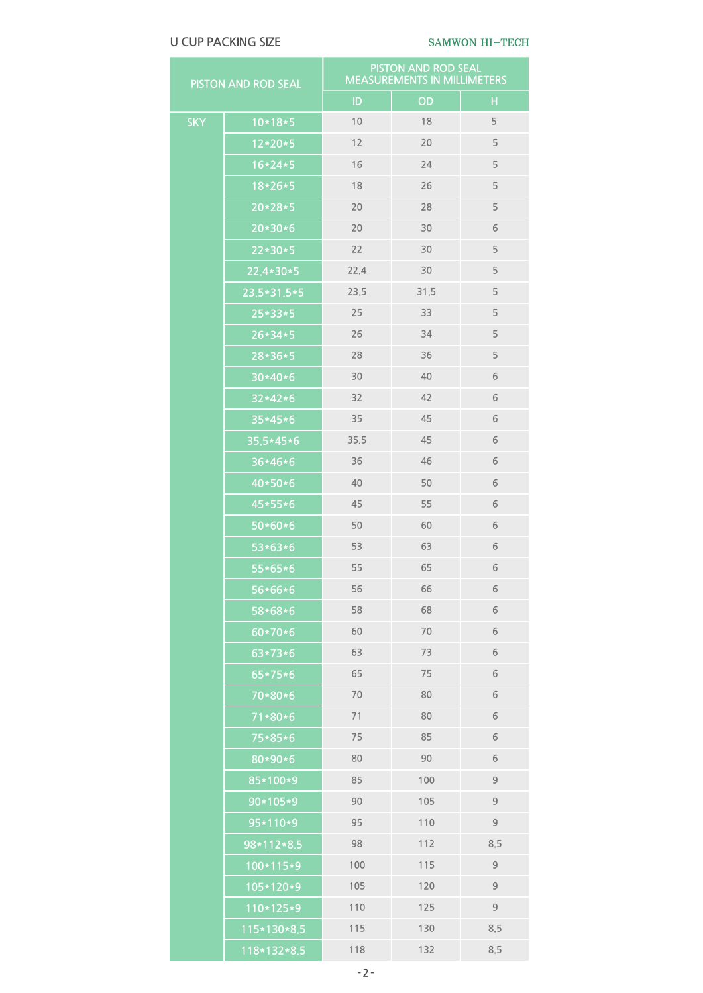# U CUP PACKING SIZE SAMWON HI-TECH

| PISTON AND ROD SEAL |                     | PISTON AND ROD SEAL<br><b>MEASUREMENTS IN MILLIMETERS</b> |      |               |  |
|---------------------|---------------------|-----------------------------------------------------------|------|---------------|--|
|                     |                     | ID                                                        | OD   | H             |  |
| <b>SKY</b>          | $10*18*5$           | 10                                                        | 18   | 5             |  |
|                     | $12*20*5$           | 12                                                        | 20   | 5             |  |
|                     | $16*24*5$           | 16                                                        | 24   | 5             |  |
|                     | $18*26*5$           | 18                                                        | 26   | 5             |  |
|                     | $20*28*5$           | 20                                                        | 28   | 5             |  |
|                     | $20*30*6$           | 20                                                        | 30   | 6             |  |
|                     | $22*30*5$           | 22                                                        | 30   | 5             |  |
|                     | 22.4*30*5           | 22,4                                                      | 30   | 5             |  |
|                     | 23,5*31,5*5         | 23.5                                                      | 31.5 | 5             |  |
|                     | $25*33*5$           | 25                                                        | 33   | 5             |  |
|                     | $26*34*5$           | 26                                                        | 34   | 5             |  |
|                     | 28*36*5             | 28                                                        | 36   | 5             |  |
|                     | $30*40*6$           | 30                                                        | 40   | 6             |  |
|                     | $32*42*6$           | 32                                                        | 42   | 6             |  |
|                     | $35*45*6$           | 35                                                        | 45   | 6             |  |
|                     | 35.5*45*6           | 35,5                                                      | 45   | 6             |  |
|                     | 36*46*6             | 36                                                        | 46   | 6             |  |
|                     | $40*50*6$           | 40                                                        | 50   | 6             |  |
|                     | $45*55*6$           | 45                                                        | 55   | 6             |  |
|                     | $50*60*6$           | 50                                                        | 60   | 6             |  |
|                     | $53*63*6$           | 53                                                        | 63   | 6             |  |
|                     | 55*65*6             | 55                                                        | 65   | 6             |  |
|                     | $56*66*6$           | 56                                                        | 66   | $\sqrt{6}$    |  |
|                     | $\frac{1}{58*68*6}$ | 58                                                        | 68   | 6             |  |
|                     | $60*70*6$           | 60                                                        | $70$ | 6             |  |
|                     | 63*73*6             | 63                                                        | 73   | 6             |  |
|                     | 65*75*6             | 65                                                        | 75   | 6             |  |
|                     | 70*80*6             | 70                                                        | 80   | 6             |  |
|                     | $71*80*6$           | 71                                                        | 80   | 6             |  |
|                     | 75*85*6             | 75                                                        | 85   | 6             |  |
|                     | 80*90*6             | 80                                                        | 90   | 6             |  |
|                     | 85*100*9            | 85                                                        | 100  | $\mathsf 9$   |  |
|                     | 90*105*9            | 90                                                        | 105  | $\mathsf 9$   |  |
|                     | 95*110*9            | 95                                                        | 110  | $\mathsf 9$   |  |
|                     | 98*112*8.5          | 98                                                        | 112  | 8.5           |  |
|                     | 100*115*9           | 100                                                       | 115  | $\mathcal{G}$ |  |
|                     | 105*120*9           | 105                                                       | 120  | $\mathsf 9$   |  |
|                     | 110*125*9           | 110                                                       | 125  | $\mathsf 9$   |  |
|                     | 115*130*8.5         | 115                                                       | 130  | 8.5           |  |
|                     | 118*132*8.5         | 118                                                       | 132  | 8.5           |  |